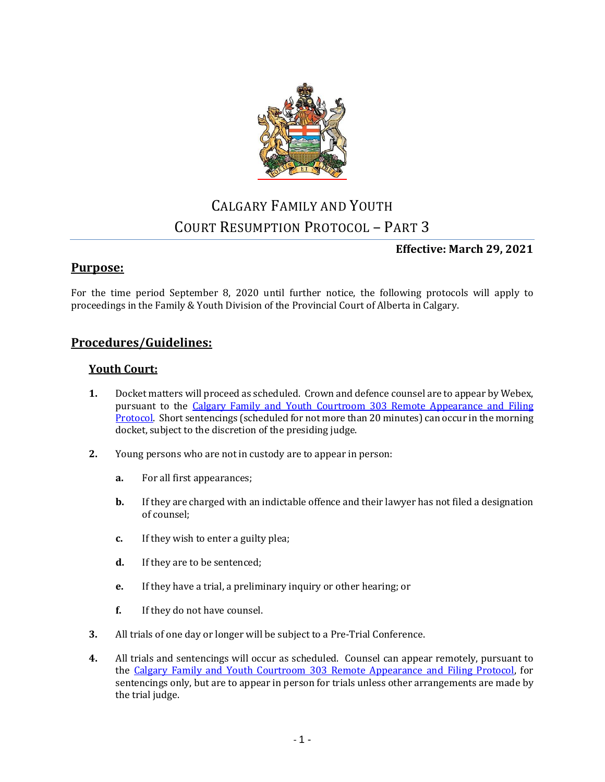

# CALGARY FAMILY AND YOUTH COURT RESUMPTION PROTOCOL – PART 3

# **Effective: March 29, 2021**

# **Purpose:**

For the time period September 8, 2020 until further notice, the following protocols will apply to proceedings in the Family & Youth Division of the Provincial Court of Alberta in Calgary.

# **Procedures/Guidelines:**

## **Youth Court:**

- **1.** Docket matters will proceed as scheduled. Crown and defence counsel are to appear by Webex, pursuant to the [Calgary Family and Youth Courtroom 303 Remote Appearance and Filing](https://albertacourts.ca/docs/default-source/pc/courtroom-303-remote-appearance-and-filing-protocol-(march-29-2021).pdf?sfvrsn=d7b83_3)  [Protocol.](https://albertacourts.ca/docs/default-source/pc/courtroom-303-remote-appearance-and-filing-protocol-(march-29-2021).pdf?sfvrsn=d7b83_3) Short sentencings (scheduled for not more than 20 minutes) can occur in the morning docket, subject to the discretion of the presiding judge.
- **2.** Young persons who are not in custody are to appear in person:
	- **a.** For all first appearances;
	- **b.** If they are charged with an indictable offence and their lawyer has not filed a designation of counsel;
	- **c.** If they wish to enter a guilty plea;
	- **d.** If they are to be sentenced;
	- **e.** If they have a trial, a preliminary inquiry or other hearing; or
	- **f.** If they do not have counsel.
- **3.** All trials of one day or longer will be subject to a Pre-Trial Conference.
- **4.** All trials and sentencings will occur as scheduled. Counsel can appear remotely, pursuant to the [Calgary Family and Youth Courtroom 303 Remote Appearance and Filing Protocol,](https://albertacourts.ca/docs/default-source/pc/courtroom-303-remote-appearance-and-filing-protocol-(march-29-2021).pdf?sfvrsn=d7b83_3) for sentencings only, but are to appear in person for trials unless other arrangements are made by the trial judge.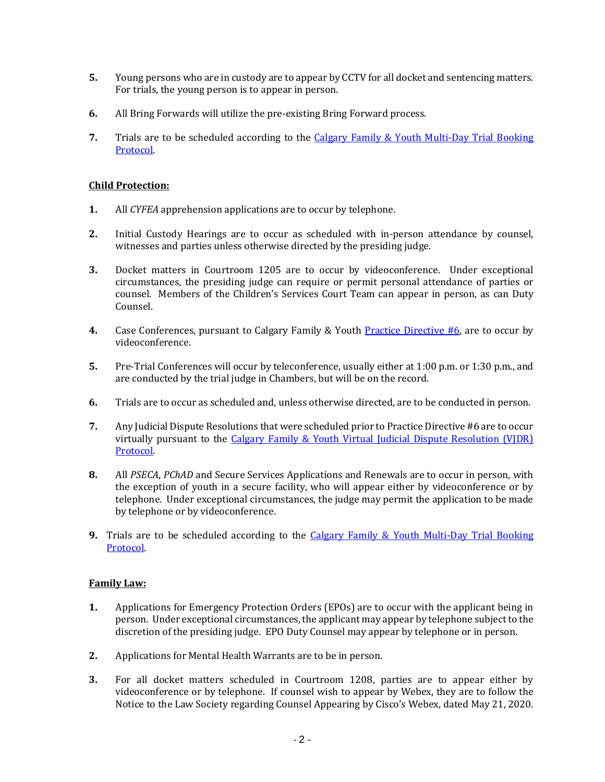- **5.** Young persons who are in custody are to appear by CCTV for all docket and sentencing matters. For trials, the young person is to appear in person.
- **6.** All Bring Forwards will utilize the pre-existing Bring Forward process.
- **7.** Trials are to be scheduled according to the [Calgary Family & Youth Multi-Day Trial Booking](https://albertacourts.ca/docs/default-source/pc/calgary-f-y-multi-day-trial-booking-protocol.pdf?sfvrsn=b2e76d83_2)  [Protocol.](https://albertacourts.ca/docs/default-source/pc/calgary-f-y-multi-day-trial-booking-protocol.pdf?sfvrsn=b2e76d83_2)

#### **Child Protection:**

- **1.** All *CYFEA* apprehension applications are to occur by telephone.
- **2.** Initial Custody Hearings are to occur as scheduled with in-person attendance by counsel, witnesses and parties unless otherwise directed by the presiding judge.
- **3.** Docket matters in Courtroom 1205 are to occur by videoconference. Under exceptional circumstances, the presiding judge can require or permit personal attendance of parties or counsel. Members of the Children's Services Court Team can appear in person, as can Duty Counsel.
- **4.** Case Conferences, pursuant to Calgary Family & Youth [Practice Directive #6,](https://www.albertacourts.ca/docs/default-source/pc/practice-directive-6-proceedings-in-child-welfare-matters-after-apprehension.pdf?sfvrsn=c9d38580_6) are to occur by videoconference.
- **5.** Pre-Trial Conferences will occur by teleconference, usually either at 1:00 p.m. or 1:30 p.m., and are conducted by the trial judge in Chambers, but will be on the record.
- **6.** Trials are to occur as scheduled and, unless otherwise directed, are to be conducted in person.
- **7.** Any Judicial Dispute Resolutions that were scheduled prior to Practice Directive #6 are to occur virtually pursuant to the [Calgary Family & Youth Virtual Judicial Dispute Resolution \(VJDR\)](https://albertacourts.ca/docs/default-source/pc/calgary-f-y-virtual-judicial-dispute-resolution.pdf?sfvrsn=23b49380_7)  [Protocol.](https://albertacourts.ca/docs/default-source/pc/calgary-f-y-virtual-judicial-dispute-resolution.pdf?sfvrsn=23b49380_7)
- **8.** All *PSECA*, *PChAD* and Secure Services Applications and Renewals are to occur in person, with the exception of youth in a secure facility, who will appear either by videoconference or by telephone. Under exceptional circumstances, the judge may permit the application to be made by telephone or by videoconference.
- **9.** Trials are to be scheduled according to the Calgary Family & Youth Multi-Day Trial Booking [Protocol.](https://albertacourts.ca/docs/default-source/pc/calgary-f-y-multi-day-trial-booking-protocol.pdf?sfvrsn=b2e76d83_2)

## **Family Law:**

- **1.** Applications for Emergency Protection Orders (EPOs) are to occur with the applicant being in person. Under exceptional circumstances, the applicant may appear by telephone subject to the discretion of the presiding judge. EPO Duty Counsel may appear by telephone or in person.
- **2.** Applications for Mental Health Warrants are to be in person.
- **3.** For all docket matters scheduled in Courtroom 1208, parties are to appear either by videoconference or by telephone. If counsel wish to appear by Webex, they are to follow the Notice to the Law Society regarding Counsel Appearing by Cisco's Webex, dated May 21, 2020.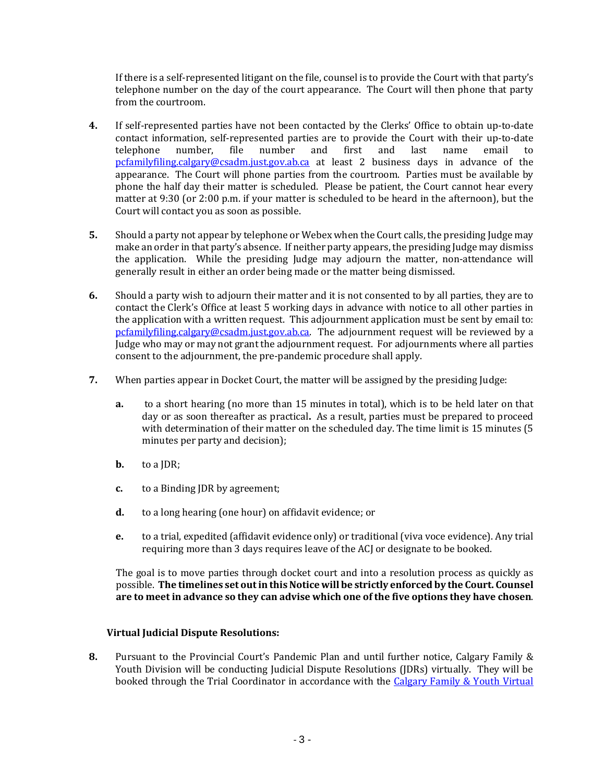If there is a self-represented litigant on the file, counsel is to provide the Court with that party's telephone number on the day of the court appearance. The Court will then phone that party from the courtroom.

- **4.** If self-represented parties have not been contacted by the Clerks' Office to obtain up-to-date contact information, self-represented parties are to provide the Court with their up-to-date<br>telephone number, file number and first and last name email to telephone number, file number and first and last name email to [pcfamilyfiling.calgary@csadm.just.gov.ab.ca](file://CJUDBCC_CNSJF2_SERVER/CNSJF2/PC/COMMON/CALGARY/F&Y/Assistants%20Shared/Emergency%20Planning/COVID-19/FCC%20Process/pcfamilyfiling.calgary@csadm.just.gov.ab.ca) at least 2 business days in advance of the appearance. The Court will phone parties from the courtroom. Parties must be available by phone the half day their matter is scheduled. Please be patient, the Court cannot hear every matter at 9:30 (or 2:00 p.m. if your matter is scheduled to be heard in the afternoon), but the Court will contact you as soon as possible.
- **5.** Should a party not appear by telephone or Webex when the Court calls, the presiding Judge may make an order in that party's absence. If neither party appears, the presiding Judge may dismiss the application. While the presiding Judge may adjourn the matter, non-attendance will generally result in either an order being made or the matter being dismissed.
- **6.** Should a party wish to adjourn their matter and it is not consented to by all parties, they are to contact the Clerk's Office at least 5 working days in advance with notice to all other parties in the application with a written request. This adjournment application must be sent by email to: [pcfamilyfiling.calgary@csadm.just.gov.ab.ca.](file://CJUDBCC_CNSJF2_SERVER/CNSJF2/PC/COMMON/CALGARY/F&Y/Assistants%20Shared/Emergency%20Planning/COVID-19/FCC%20Process/pcfamilyfiling.calgary@csadm.just.gov.ab.ca) The adjournment request will be reviewed by a Judge who may or may not grant the adjournment request. For adjournments where all parties consent to the adjournment, the pre-pandemic procedure shall apply.
- **7.** When parties appear in Docket Court, the matter will be assigned by the presiding Judge:
	- **a.** to a short hearing (no more than 15 minutes in total), which is to be held later on that day or as soon thereafter as practical**.** As a result, parties must be prepared to proceed with determination of their matter on the scheduled day. The time limit is 15 minutes (5 minutes per party and decision);
	- **b.** to a JDR;
	- **c.** to a Binding JDR by agreement;
	- **d.** to a long hearing (one hour) on affidavit evidence; or
	- **e.** to a trial, expedited (affidavit evidence only) or traditional (viva voce evidence). Any trial requiring more than 3 days requires leave of the ACJ or designate to be booked.

The goal is to move parties through docket court and into a resolution process as quickly as possible. **The timelines set out in this Notice will be strictly enforced by the Court. Counsel are to meet in advance so they can advise which one of the five options they have chosen**.

#### **Virtual Judicial Dispute Resolutions:**

**8.** Pursuant to the Provincial Court's Pandemic Plan and until further notice, Calgary Family & Youth Division will be conducting Judicial Dispute Resolutions (JDRs) virtually. They will be booked through the Trial Coordinator in accordance with the [Calgary Family & Youth Virtual](https://albertacourts.ca/docs/default-source/pc/calgary-f-y-virtual-judicial-dispute-resolution.pdf?sfvrsn=23b49380_7)